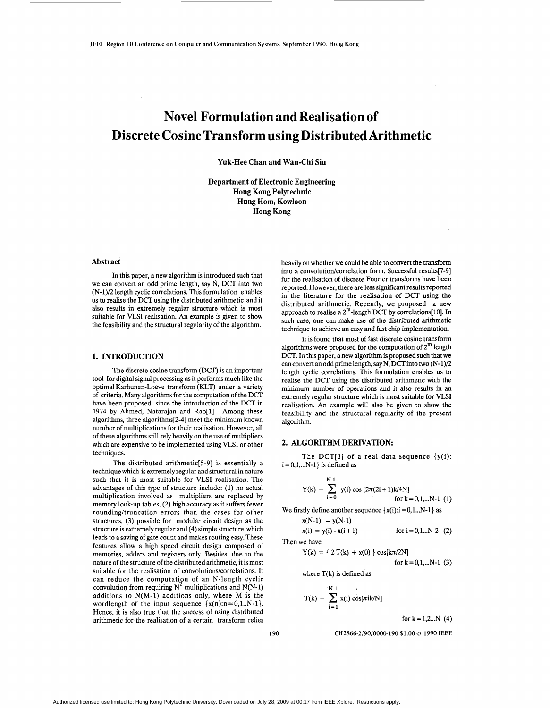# **Novel Formulation and Realisation of Discrete Cosine Transform using Distributed Arithmetic**

**Yuk-Hee Chan and Wan-Chi Siu** 

**Department of Electronic Engineering Hong Kong Polytechnic Hung Hom, Kowloon Hong Kong** 

## **Abstract**

In this paper, a new algorithm is introduced such that we can convert an odd prime length, say N, DCT into two (N-1)/2 length cyclic correlations. This formulation enables us to realise the DCT using the distributed arithmetic and it also results in extremely regular structure which is most suitable for VLSI realisation. *An* example is given to show the feasibility and the structural regularity of the algorithm.

### **1. INTRODUCTIQN**

The discrete cosine transform (DCT) is an important tool for digital signal processing **as** it performs much like the optimal Karhunen-Loeve transform (KLT) under a variety of criteria. Many algorithms for the computation of the DCT have been proposed since the introduction of the DCT in 1974 by Ahmed, Natarajan and Rao[l]. Among these algorithms, three algorithms[2-41 meet the minimum known number of multiplications for their realisation. However, all of these algorithms still rely heavily on the use of multipliers which are expensive to be implemented using VLSI or other techniques.

The distributed arithmetic[S-9] is essentially a technique which is extremely regular and structural in nature such that it is most suitable for VLSI realisation. The advantages of this type of structure include: (1) no actual multiplication involved as multipliers are replaced by memory look-up tables, **(2)** high accuracy as it suffers fewer rounding/truncation errors than the cases for other structures, **(3)** possible for modular circuit design as the structure is extremely regular and (4) simple structure which leads to a saving of gate count and makes routing easy. These features allow a high speed circuit design composed of memories, adders and registers only. Besides, due to the nature of the structure of the distributed arithmetic, it is most suitable for the realisation of convolutions/correlations. It can reduce the computation of an N-length cyclic convolution from requiring  $N^2$  multiplications and  $N(N-1)$ additions to  $N(M-1)$  additions only, where M is the wordlength of the input sequence  $\{x(n): n = 0, 1..N-1\}$ . Hence, it is also true that the success of using distributed arithmetic for the realisation of a certain transform relies heavily on whether we could be able to convert the transform into a convolution/correlation form. Successful results[7-9] for the realisation of discrete Fourier transforms have been reported. However, there are less significant results reported in the literature for the realisation of DCT using the distributed arithmetic. Recently, we proposed **a** new approach to realise a 2<sup>m</sup>-length DCT by correlations[10]. In such case, one can make use of the distributed arithmetic technique to achieve an easy and fast chip implementation.

It is found that most of fast discrete cosine transform algorithms were proposed for the computation of  $2^{\text{m}}$  length DCT. In this paper, a new algorithm is proposed such that we can convert an odd prime length, say N, DCTinto two (N-1)/2 length cyclic correlations. This formulation enables us to realise the DCT using the distributed arithmetic with the minimum number of operations and it also results in an extremely regular structure which is most suitable for VLSI realisation. *An* example will also be given to show the feasibility and the structural regularity of the present algorithm.

#### **2. ALGORITHM DERIVATION:**

 $i = 0, 1, \ldots N-1$ } is defined as The DCT[1] of a real data sequence  $\{y(i)\}$ :

Y(k) = 
$$
\sum_{i=0}^{N-1} y(i) \cos [2\pi (2i+1)k/4N]
$$
  
for k = 0,1,...N-1 (1)

We firstly define another sequence  $\{x(i): i = 0, 1...N-1\}$  as

$$
x(N-1) = y(N-1)
$$

 $x(i) = y(i) - x(i + 1)$ Then we have

$$
Y(k) = \{ 2 T(k) + x(0) \} \cos[k\pi/2N]
$$

for 
$$
k = 0, 1, \ldots N-1
$$
 (3)

for  $i = 0, 1...N-2$  (2)

where  $T(k)$  is defined as

$$
T(k) = \sum_{i=1}^{N-1} x(i) \cos[\pi i k/N]
$$

for  $k = 1, 2, ... N$  (4)

**190 CH2866-2/90/0000-190 \$1.00** *0* **1990 IEEE**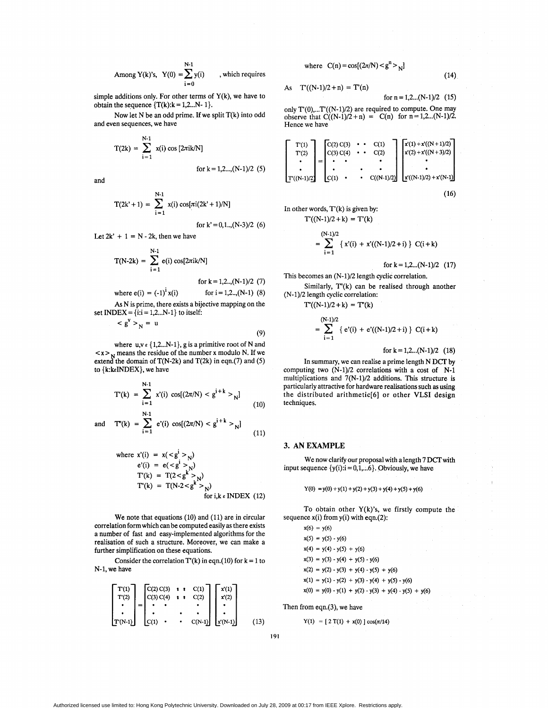Among Y(k)'s, Y(0) = 
$$
\sum_{i=0}^{N-1} y(i)
$$
, which requires

simple additions only. For other terms of  $Y(k)$ , we have to obtain the sequence  ${T(k): k = 1, 2...N-1}.$ 

Now let N be **an** odd prime. If we split T(k) into odd and even sequences, we have

$$
T(2k) = \sum_{i=1}^{N-1} x(i) \cos [2\pi i k/N]
$$
  
for k = 1,2..., (N-1)/2 (5)

and

$$
T(2k^{2} + 1) = \sum_{i=1}^{N-1} x(i) \cos[\pi i (2k^{2} + 1)/N]
$$
  
for k' = 0, 1..., (N-3)/2 (6)

Let  $2k' + 1 = N - 2k$ , then we have

$$
T(N-2k) = \sum_{i=1}^{N-1} e(i) \cos[2\pi i k/N]
$$
  
for k = 1,2...,(N-1)/2 (7)  
where e(i) = (-1)<sup>i</sup> x(i) for i = 1,2...,(N-1) (8)

**As** N is prime, there exists a bijective mapping on the set INDEX = { $i:i = 1,2...N-1$ } to itself:

$$
\langle g' \rangle_N = u \tag{9}
$$

where  $u, v \in \{1, 2, \ldots N-1\}$ , g is a primitive root of N and  $\langle x \rangle$  means the residue of the number x modulo N. If we extend the domain of  $T(N-2k)$  and  $T(2k)$  in eqn.(7) and (5) to  $\{k:k\epsilon\}$ NDEX $\}$ , we have

$$
T'(k) = \sum_{i=1}^{N-1} x'(i) \cos[(2\pi/N) < g^{i+k} >_{N}]
$$
\n(10)

and 
$$
T'(k) = \sum_{i=1}^{N-1} e'(i) \cos[(2\pi/N) < g^{i+k} > N]
$$
 (11)

where 
$$
x'(i) = x(_N)
$$
  
\n $e'(i) = e(_N)$   
\n $T'(k) = T(2 < g^k >_N)$   
\n $T''(k) = T(N-2 < g^k >_N)$   
\nfor  $i, k \in \text{INDEX}$  (12)

We note that equations (10) and (11) are in circular correlation form which can be computed easily **as** there exists a number of fast and easy-implemented algorithms for the realisation of such a structure. Moreover, we can make a further simplification on these equations.

Consider the correlation  $T'(k)$  in eqn.(10) for  $k = 1$  to N-1, we have

$$
\begin{bmatrix}\n\mathbf{T}(1) \\
\mathbf{T}(2) \\
\cdot \\
\cdot \\
\mathbf{T}(N-1)\n\end{bmatrix} = \n\begin{bmatrix}\n\mathbf{C}(2) \, \mathbf{C}(3) & \mathbf{i} & \mathbf{C}(1) \\
\mathbf{C}(3) \, \mathbf{C}(4) & \mathbf{i} & \mathbf{C}(2) \\
\cdot & \cdot & \cdot \\
\cdot & \cdot & \cdot \\
\mathbf{C}(1) & \cdot & \cdot & \mathbf{C}(N-1)\n\end{bmatrix} \n\begin{bmatrix}\nx(1) \\
x(2) \\
x(2) \\
\cdot \\
\cdot \\
\cdot \\
\cdot \\
\cdot\n\end{bmatrix} \tag{13}
$$

where  $C(n) = cos[(2\pi/N) < g<sup>n</sup> > N]$ 

$$
\mathcal{L} \subset \mathcal{L}
$$

As 
$$
T'(N-1)/2 + n) = T'(n)
$$
  
for  $n = 1, 2, ..., (N-1)/2$  (15)

only  $T'(0)$ ,... $T'(N-1)/2$ ) are required to compute. One may observe that  $\hat{C}((N-1)/2+n) = C(n)$  for  $n = 1,2... (N-1)/2$ . Hence we have

$$
\begin{bmatrix}\nT'(1) \\
T'(2) \\
\vdots \\
T'(N-1)/2\n\end{bmatrix} = \begin{bmatrix}\nC(2) C(3) & \cdot & \cdot & C(1) \\
C(3) C(4) & \cdot & \cdot & C(2) \\
\cdot & \cdot & \cdot & \cdot \\
C(1) & \cdot & \cdot & \cdot \\
C(1) & \cdot & \cdot & \cdot \\
\end{bmatrix} \begin{bmatrix}\nx'(1) + x'(N+1)/2 \\
x'(2) + x'(N+3)/2 \\
\cdot & \cdot & \cdot \\
x'(N-1)/2) + x'(N-1)\n\end{bmatrix}
$$
\n(16)

In other words, T'(k) is given by: T'((N-1)/2+ k) = T'(k)

$$
= \sum_{i=1}^{(N-1)/2} \{ x'(i) + x'((N-1)/2+i) \} C(i+k)
$$

for  $k = 1, 2, \ldots$  (N-1)/2 (17)

Similarly,  $T'(k)$  can be realised through another This becomes an (N-1)/2 length cyclic correlation. (N-1)/2 length cyclic correlation:

 $T''((N-1)/2 + k) = T''(k)$ 

$$
= \sum_{i=1}^{(N-1)/2} \{ e'(i) + e'((N-1)/2+i) \} C(i+k)
$$

for  $k = 1, 2, \ldots$  (N-1)/2 (18)

In summary, we can realise a prime length N DCT by computing two (N-1)/2 correlations with a cost of N-1 multiplications and  $7(N-1)/2$  additions. This structure is particularly attractive for hardware realisations such **as** using the distributed arithmetic[6] or other **VLSI** design techniques.

## **3. ANEXAMPLE**

input sequence  $\{y(i): i = 0, 1, \ldots, 6\}$ . Obviously, we have We now clarify our proposal with a length 7 DCT with

$$
Y(0) = y(0) + y(1) + y(2) + y(3) + y(4) + y(5) + y(6)
$$

To obtain other  $Y(k)$ 's, we firstly compute the sequence  $x(i)$  from  $y(i)$  with eqn.(2):

 $x(6) = y(6)$  $x(5) = y(5) - y(6)$  $x(4) = y(4) - y(5) + y(6)$  $x(3) = y(3) - y(4) + y(5) - y(6)$  $x(2) = y(2) - y(3) + y(4) - y(5) + y(6)$  $x(1) = y(1) - y(2) + y(3) - y(4) + y(5) - y(6)$  $x(0) = y(0) - y(1) + y(2) - y(3) + y(4) - y(5) + y(6)$ 

Then from eqn.(3), we have

 $Y(1) = [2 T(1) + x(0)] \cos(\pi/14)$ 

**(14)**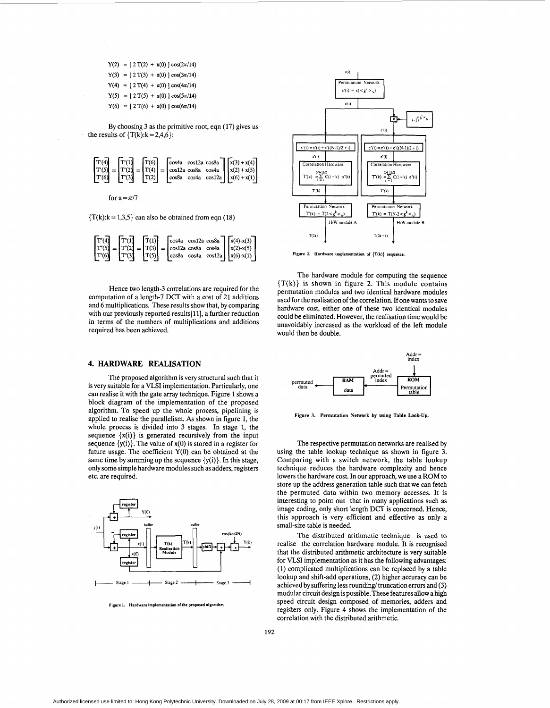$Y(2) = [2 T(2) + x(0)] \cos(2\pi/14)$  $Y(3) = [2 T(3) + x(0)] \cos(3\pi/14)$  $Y(4) = [2 T(4) + x(0)] \cos(4\pi/14)$  $Y(5) = [2 T(5) + x(0)] \cos(5\pi/14)$  $Y(6) = [2 T(6) + x(0)] \cos(6\pi/14)$ 

By choosing 3 as the primitive root, eqn (17) gives us the results of  $\{T(k): k=2,4,6\}$ :



for  $a = \pi/7$ 

 ${T(k):k = 1,3,5} can also be obtained from eqn (18)$ 

|  |  |  |  |  | $\begin{bmatrix} \mathbf{T}^{\prime\prime}(\mathbf{4}) \\ \mathbf{T}^{\prime\prime}(5) \\ \mathbf{T}^{\prime}(6) \end{bmatrix} = \begin{bmatrix} \mathbf{T}^{\prime}(1) \\ \mathbf{T}^{\prime}(2) \\ \mathbf{T}^{\prime}(3) \end{bmatrix} = \begin{bmatrix} \mathbf{T}(1) \\ \mathbf{T}(3) \\ \mathbf{T}(5) \end{bmatrix} = \begin{bmatrix} \cos 4a & \cos 12a & \cos 8a \\ \cos 12a & \cos 8a & \cos 4a \\ \cos 8a & \cos 4a & \cos 12a \end{bmatrix} \begin{bmatrix} x(4) \cdot$ |
|--|--|--|--|--|------------------------------------------------------------------------------------------------------------------------------------------------------------------------------------------------------------------------------------------------------------------------------------------------------------------------------------------------------------------------------------------------------------------------------------------------------------------------------------|
|  |  |  |  |  |                                                                                                                                                                                                                                                                                                                                                                                                                                                                                    |
|  |  |  |  |  |                                                                                                                                                                                                                                                                                                                                                                                                                                                                                    |

Hence two length-3 correlations are required for the computation of a length-7 DCT with a cost of 21 additions and 6 multiplications. These results show that, by comparing with our previously reported results[11], a further reduction in terms of the numbers of multiplications and additions required has been achieved.

## **4. HARDWARE REALISATION**

The proposed algorithm is very structural such that it is very suitable for a VLSI implementation. Particularly, one can realise it with the gate array technique. Figure 1 shows a block diagram of the implementation of the proposed algorithm, To speed up the whole process, pipelining is applied to realise the parallelism. **As** shown in figure 1, the whole process is divided into **3** stages. In stage 1, the sequence  $\{x(i)\}\$ is generated recursively from the input sequence  $\{y(i)\}\)$ . The value of  $x(0)$  is stored in a register for future usage. The coefficient **Y(0)** can be obtained at the same time by summing up the sequence  $\{y(i)\}\$ . In this stage, only some simple hardware modules such as adders, registers etc. are required.



**Figure 1. Hardware implemmlation orthr proposed nlgorilhm** 



**Figure 2. Hardware implementation of {Tfi)} sequmer** 

The hardware module for computing the sequence  ${T(k)}$  is shown in figure 2. This module contains permutation modules and two identical hardware modules used for the realisation of the correlation. If one wants to save hardware cost, either one of these two identical modules could be eliminated. However, the realisation time would be unavoidably increased as the workload of the left module would then be double.



**Figure 3. Permutation Network by using Table Look-Up.** 

The respective permutation networks are realised by using the table lookup technique as shown in figure 3. Comparing with a switch network, the table lookup technique reduces the hardware complexity and hence lowers the hardware cost. In our approach, we use a ROM to store up the address generation table such that we can fetch the permuted data within two memory accesses. It is interesting to point out that in many applications such **as**  image coding, only short length DCT is concerned. Hence, this approach is very efficient and effective as only a small-size table is needed.

The distributed arithmetic technique is used to realise the correlation hardware module. It is recognised that the distributed arithmetic architecture is very suitable for VLSI implementation as it has the following advantages: (1) complicated multiplications can be replaced by a table lookup and shift-add operations, **(2)** higher accuracy can be achieved by suffering less rounding/ truncation errors and (3) modular circuit design is possible. These features allow a high speed circuit design composed of memories, adders and registers only. Figure **4** shows the implementation of the correlation with the distributed arithmetic.

Authorized licensed use limited to: Hong Kong Polytechnic University. Downloaded on July 28, 2009 at 00:17 from IEEE Xplore. Restrictions apply.